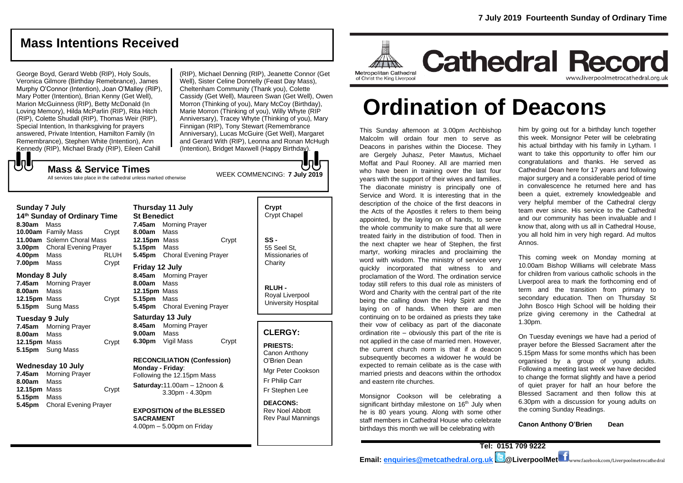# **Mass Intentions Received**

George Boyd, Gerard Webb (RIP), Holy Souls, Veronica Gilmore (Birthday Remebrance), James Murphy O'Connor (Intention), Joan O'Malley (RIP), Mary Potter (Intention), Brian Kenny (Get Well), Marion McGuinness (RIP), Betty McDonald (In Loving Memory), Hilda McParlin (RIP), Rita Hitch (RIP), Colette Shudall (RIP), Thomas Weir (RIP), Special Intention, In thanksgiving for prayers answered, Private Intention, Hamilton Family (In Remembrance), Stephen White (Intention), Ann Kennedy (RIP), Michael Brady (RIP), Eileen Cahill

(RIP), Michael Denning (RIP), Jeanette Connor (Get Well), Sister Celine Donnelly (Feast Day Mass), Cheltenham Community (Thank you), Colette Cassidy (Get Well), Maureen Swan (Get Well), Owen Morron (Thinking of you), Mary McCoy (Birthday), Marie Morron (Thinking of you), Willy Whyte (RIP Anniversary), Tracey Whyte (Thinking of you), Mary Finnigan (RIP), Tony Stewart (Remembrance Anniversary), Lucas McGuire (Get Well), Margaret and Gerard With (RIP), Leonna and Ronan McHugh (Intention), Bridget Maxwell (Happy Birthday).

WEEK COMMENCING: **7 July 2019**

**Mass & Service Times**

#### All services take place in the cathedral unless marked otherwise

## **Sunday 7 July**

もし

**14th Sunday of Ordinary Time 8.30am** Mass **10.00am** Family Mass Crypt **11.00am** Solemn Choral Mass **3.00pm** Choral Evening Prayer **4.00pm** Mass RLUH **7.00pm** Mass Crypt

#### **Monday 8 July**

**7.45am** Morning Prayer **8.00am** Mass **12.15pm** Mass Crypt **5.15pm** Sung Mass

#### **Tuesday 9 July**

**7.45am** Morning Prayer **8.00am** Mass **12.15pm** Mass Crypt **5.15pm** Sung Mass

#### **Wednesday 10 July**

**7.45am** Morning Prayer **8.00am** Mass **12.15pm** Mass Crypt **5.15pm** Mass **5.45pm** Choral Evening Prayer

**Thursday 11 July St Benedict 7.45am** Morning Prayer **8.00am** Mass **12.15pm** Mass Crypt **5.15pm** Mass **5.45pm** Choral Evening Prayer **Friday 12 July**

**8.45am** Morning Prayer **8.00am** Mass **12.15pm** Mass **5.15pm** Mass **5.45pm** Choral Evening Prayer

**Saturday 13 July 8.45am** Morning Prayer **9.00am** Mass **6.30pm** Vigil Mass Crypt

# **RECONCILIATION (Confession)**

**Monday - Friday**: Following the 12.15pm Mass **Saturday:**11.00am – 12noon & 3.30pm - 4.30pm

#### **EXPOSITION of the BLESSED SACRAMENT** 4.00pm – 5.00pm on Friday

# **Crypt**  Crypt Chapel

**SS -** 55 Seel St, Missionaries of **Charity** 

**RLUH -** Royal Liverpool University Hospital

#### **CLERGY:**

**PRIESTS:** Canon Anthony O'Brien *Dean* Mgr Peter Cookson Fr Philip Carr Fr Stephen Lee

**DEACONS:** Rev Noel Abbott Rev Paul Mannings



# **Ordination of Deacons**

This Sunday afternoon at 3.00pm Archbishop Malcolm will ordain four men to serve as Deacons in parishes within the Diocese. They are Gergely Juhasz, Peter Mawtus, Michael Moffat and Paul Rooney. All are married men who have been in training over the last four years with the support of their wives and families. The diaconate ministry is principally one of Service and Word. It is interesting that in the description of the choice of the first deacons in the Acts of the Apostles it refers to them being appointed, by the laying on of hands, to serve the whole community to make sure that all were treated fairly in the distribution of food. Then in the next chapter we hear of Stephen, the first martyr, working miracles and proclaiming the word with wisdom. The ministry of service very quickly incorporated that witness to and proclamation of the Word. The ordination service today still refers to this dual role as ministers of Word and Charity with the central part of the rite being the calling down the Holy Spirit and the laying on of hands. When there are men continuing on to be ordained as priests they take their vow of celibacy as part of the diaconate ordination rite – obviously this part of the rite is not applied in the case of married men. However, the current church norm is that if a deacon subsequently becomes a widower he would be expected to remain celibate as is the case with married priests and deacons within the orthodox and eastern rite churches.

Monsignor Cookson will be celebrating a significant birthday milestone on  $16<sup>th</sup>$  July when he is 80 years young. Along with some other staff members in Cathedral House who celebrate birthdays this month we will be celebrating with

him by going out for a birthday lunch together this week. Monsignor Peter will be celebrating his actual birthday with his family in Lytham. I want to take this opportunity to offer him our congratulations and thanks. He served as Cathedral Dean here for 17 years and following major surgery and a considerable period of time in convalescence he returned here and has been a quiet, extremely knowledgeable and very helpful member of the Cathedral clergy team ever since. His service to the Cathedral and our community has been invaluable and I know that, along with us all in Cathedral House, you all hold him in very high regard. Ad multos Annos.

This coming week on Monday morning at 10.00am Bishop Williams will celebrate Mass for children from various catholic schools in the Liverpool area to mark the forthcoming end of term and the transition from primary to secondary education. Then on Thursday St John Bosco High School will be holding their prize giving ceremony in the Cathedral at 1.30pm.

On Tuesday evenings we have had a period of prayer before the Blessed Sacrament after the 5.15pm Mass for some months which has been organised by a group of young adults. Following a meeting last week we have decided to change the format slightly and have a period of quiet prayer for half an hour before the Blessed Sacrament and then follow this at 6.30pm with a discussion for young adults on the coming Sunday Readings.

**Canon Anthony O'Brien Dean**